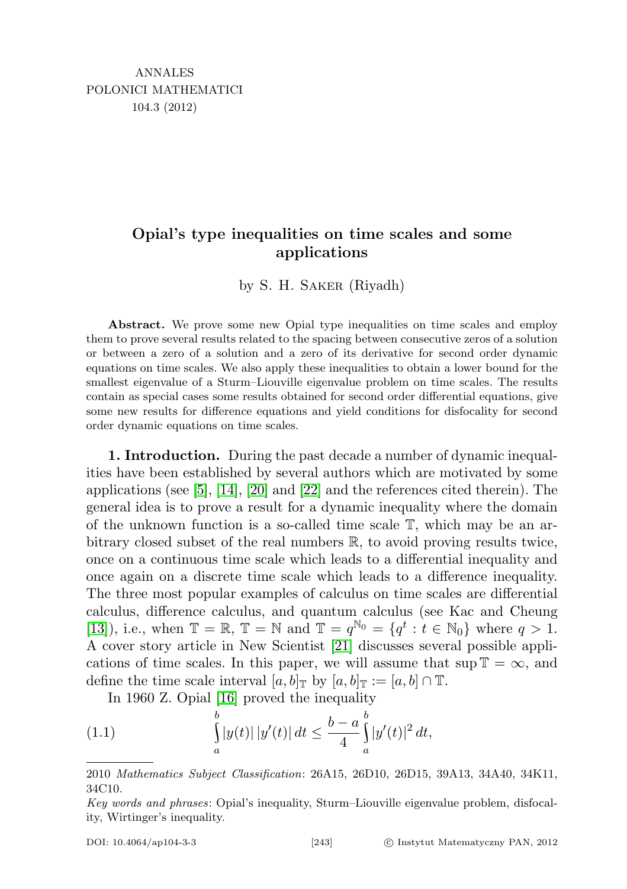## Opial's type inequalities on time scales and some applications

by S. H. Saker (Riyadh)

Abstract. We prove some new Opial type inequalities on time scales and employ them to prove several results related to the spacing between consecutive zeros of a solution or between a zero of a solution and a zero of its derivative for second order dynamic equations on time scales. We also apply these inequalities to obtain a lower bound for the smallest eigenvalue of a Sturm–Liouville eigenvalue problem on time scales. The results contain as special cases some results obtained for second order differential equations, give some new results for difference equations and yield conditions for disfocality for second order dynamic equations on time scales.

1. Introduction. During the past decade a number of dynamic inequalities have been established by several authors which are motivated by some applications (see  $[5]$ ,  $[14]$ ,  $[20]$  and  $[22]$  and the references cited therein). The general idea is to prove a result for a dynamic inequality where the domain of the unknown function is a so-called time scale T, which may be an arbitrary closed subset of the real numbers R, to avoid proving results twice, once on a continuous time scale which leads to a differential inequality and once again on a discrete time scale which leads to a difference inequality. The three most popular examples of calculus on time scales are differential calculus, difference calculus, and quantum calculus (see Kac and Cheung [\[13\]](#page-17-4)), i.e., when  $\mathbb{T} = \mathbb{R}$ ,  $\mathbb{T} = \mathbb{N}$  and  $\mathbb{T} = q^{\mathbb{N}_0} = \{q^t : t \in \mathbb{N}_0\}$  where  $q > 1$ . A cover story article in New Scientist [\[21\]](#page-17-5) discusses several possible applications of time scales. In this paper, we will assume that sup  $\mathbb{T} = \infty$ , and define the time scale interval  $[a, b]_{\mathbb{T}}$  by  $[a, b]_{\mathbb{T}} := [a, b] \cap \mathbb{T}$ .

<span id="page-0-0"></span>In 1960 Z. Opial [\[16\]](#page-17-6) proved the inequality

(1.1) 
$$
\int_{a}^{b} |y(t)| |y'(t)| dt \leq \frac{b-a}{4} \int_{a}^{b} |y'(t)|^{2} dt,
$$

<sup>2010</sup> Mathematics Subject Classification: 26A15, 26D10, 26D15, 39A13, 34A40, 34K11, 34C10.

Key words and phrases: Opial's inequality, Sturm–Liouville eigenvalue problem, disfocality, Wirtinger's inequality.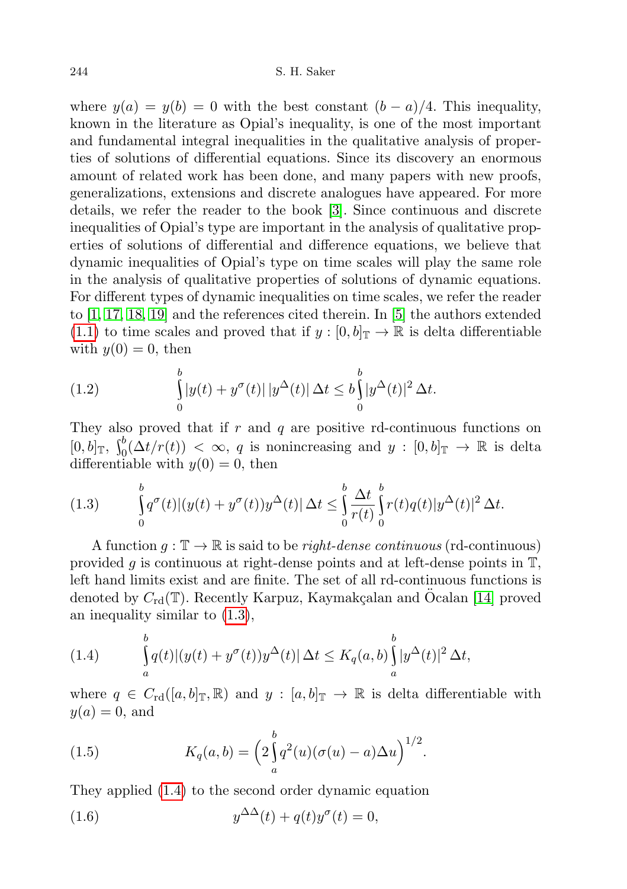where  $y(a) = y(b) = 0$  with the best constant  $(b - a)/4$ . This inequality, known in the literature as Opial's inequality, is one of the most important and fundamental integral inequalities in the qualitative analysis of properties of solutions of differential equations. Since its discovery an enormous amount of related work has been done, and many papers with new proofs, generalizations, extensions and discrete analogues have appeared. For more details, we refer the reader to the book [\[3\]](#page-17-7). Since continuous and discrete inequalities of Opial's type are important in the analysis of qualitative properties of solutions of differential and difference equations, we believe that dynamic inequalities of Opial's type on time scales will play the same role in the analysis of qualitative properties of solutions of dynamic equations. For different types of dynamic inequalities on time scales, we refer the reader to [\[1,](#page-16-0) [17,](#page-17-8) [18,](#page-17-9) [19\]](#page-17-10) and the references cited therein. In [\[5\]](#page-17-0) the authors extended [\(1.1\)](#page-0-0) to time scales and proved that if  $y:[0,b]_{\mathbb{T}}\to\mathbb{R}$  is delta differentiable with  $y(0) = 0$ , then

(1.2) 
$$
\int_{0}^{b} |y(t) + y^{\sigma}(t)| |y^{\Delta}(t)| \Delta t \leq b \int_{0}^{b} |y^{\Delta}(t)|^{2} \Delta t.
$$

They also proved that if  $r$  and  $q$  are positive rd-continuous functions on  $[0, b]_{\mathbb{T}}, \int_0^b (\Delta t/r(t)) < \infty, q$  is nonincreasing and  $y : [0, b]_{\mathbb{T}} \to \mathbb{R}$  is delta differentiable with  $y(0) = 0$ , then

<span id="page-1-0"></span>(1.3) 
$$
\int_{0}^{b} q^{\sigma}(t) |(y(t) + y^{\sigma}(t))y^{\Delta}(t)| \Delta t \leq \int_{0}^{b} \frac{\Delta t}{r(t)} \int_{0}^{b} r(t)q(t)|y^{\Delta}(t)|^{2} \Delta t.
$$

A function  $q: \mathbb{T} \to \mathbb{R}$  is said to be *right-dense continuous* (rd-continuous) provided g is continuous at right-dense points and at left-dense points in  $\mathbb{T}$ , left hand limits exist and are finite. The set of all rd-continuous functions is denoted by  $C_{\rm rd}(\mathbb{T})$ . Recently Karpuz, Kaymakçalan and Öcalan [\[14\]](#page-17-1) proved an inequality similar to [\(1.3\)](#page-1-0),

<span id="page-1-1"></span>(1.4) 
$$
\int_{a}^{b} q(t) |(y(t) + y^{\sigma}(t))y^{\Delta}(t)| \Delta t \leq K_q(a, b) \int_{a}^{b} |y^{\Delta}(t)|^2 \Delta t,
$$

where  $q \in C_{\rm rd}([a, b]_{\mathbb{T}}, \mathbb{R})$  and  $y : [a, b]_{\mathbb{T}} \to \mathbb{R}$  is delta differentiable with  $y(a) = 0$ , and

(1.5) 
$$
K_q(a,b) = \left(2\int_a^b q^2(u)(\sigma(u)-a)\Delta u\right)^{1/2}.
$$

They applied [\(1.4\)](#page-1-1) to the second order dynamic equation

<span id="page-1-2"></span>(1.6) 
$$
y^{\Delta\Delta}(t) + q(t)y^{\sigma}(t) = 0,
$$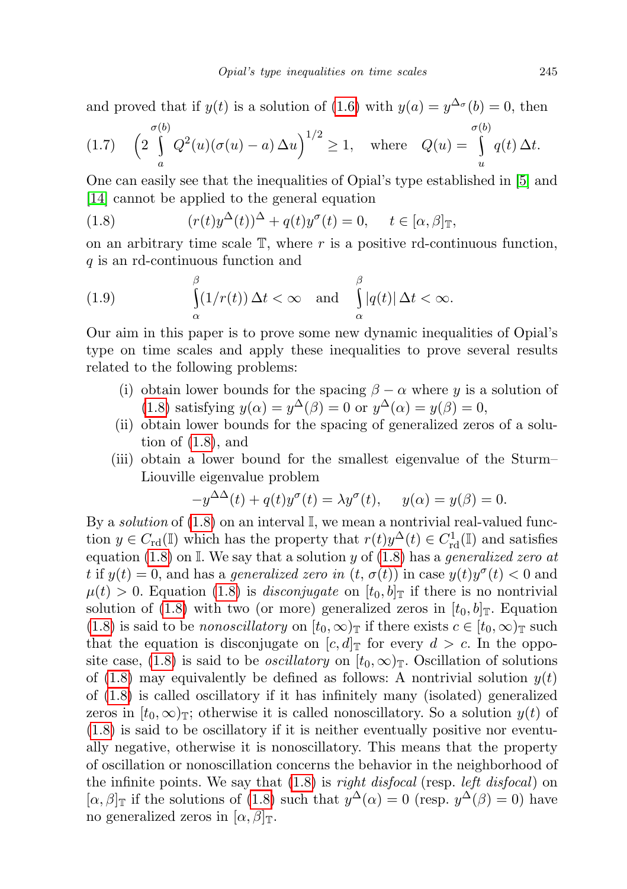and proved that if  $y(t)$  is a solution of [\(1.6\)](#page-1-2) with  $y(a) = y^{\Delta_{\sigma}}(b) = 0$ , then

$$
(1.7) \quad \left(2\int_a^{\sigma(b)} Q^2(u)(\sigma(u)-a)\Delta u\right)^{1/2} \ge 1, \quad \text{where} \quad Q(u) = \int_u^{\sigma(b)} q(t)\Delta t.
$$

One can easily see that the inequalities of Opial's type established in [\[5\]](#page-17-0) and [\[14\]](#page-17-1) cannot be applied to the general equation

<span id="page-2-0"></span>(1.8) 
$$
(r(t)y^{\Delta}(t))^{\Delta} + q(t)y^{\sigma}(t) = 0, \quad t \in [\alpha, \beta]_{\mathbb{T}},
$$

on an arbitrary time scale  $\mathbb{T}$ , where r is a positive rd-continuous function, q is an rd-continuous function and

(1.9) 
$$
\int_{\alpha}^{\beta} (1/r(t)) \Delta t < \infty \text{ and } \int_{\alpha}^{\beta} |q(t)| \Delta t < \infty.
$$

Our aim in this paper is to prove some new dynamic inequalities of Opial's type on time scales and apply these inequalities to prove several results related to the following problems:

- (i) obtain lower bounds for the spacing  $\beta \alpha$  where y is a solution of [\(1.8\)](#page-2-0) satisfying  $y(\alpha) = y^{\Delta}(\beta) = 0$  or  $y^{\Delta}(\alpha) = y(\beta) = 0$ ,
- (ii) obtain lower bounds for the spacing of generalized zeros of a solution of  $(1.8)$ , and
- (iii) obtain a lower bound for the smallest eigenvalue of the Sturm– Liouville eigenvalue problem

$$
-y^{\Delta\Delta}(t) + q(t)y^{\sigma}(t) = \lambda y^{\sigma}(t), \quad y(\alpha) = y(\beta) = 0.
$$

By a *solution* of  $(1.8)$  on an interval  $\mathbb{I}$ , we mean a nontrivial real-valued function  $y \in C_{\rm rd}(\mathbb{I})$  which has the property that  $r(t)y^{\Delta}(t) \in C_{\rm rd}^1(\mathbb{I})$  and satisfies equation [\(1.8\)](#page-2-0) on  $\mathbb{I}$ . We say that a solution y of (1.8) has a generalized zero at t if  $y(t) = 0$ , and has a *generalized zero in*  $(t, \sigma(t))$  in case  $y(t)y^{\sigma}(t) < 0$  and  $\mu(t) > 0$ . Equation [\(1.8\)](#page-2-0) is *disconjugate* on  $[t_0, b]$  if there is no nontrivial solution of [\(1.8\)](#page-2-0) with two (or more) generalized zeros in  $[t_0, b]_T$ . Equation [\(1.8\)](#page-2-0) is said to be *nonoscillatory* on  $[t_0, \infty)_T$  if there exists  $c \in [t_0, \infty)_T$  such that the equation is disconjugate on  $[c, d]_{\mathbb{T}}$  for every  $d > c$ . In the oppo-site case, [\(1.8\)](#page-2-0) is said to be *oscillatory* on  $[t_0, \infty)_T$ . Oscillation of solutions of [\(1.8\)](#page-2-0) may equivalently be defined as follows: A nontrivial solution  $y(t)$ of [\(1.8\)](#page-2-0) is called oscillatory if it has infinitely many (isolated) generalized zeros in  $[t_0, \infty)$ <sub>T</sub>; otherwise it is called nonoscillatory. So a solution  $y(t)$  of [\(1.8\)](#page-2-0) is said to be oscillatory if it is neither eventually positive nor eventually negative, otherwise it is nonoscillatory. This means that the property of oscillation or nonoscillation concerns the behavior in the neighborhood of the infinite points. We say that  $(1.8)$  is *right disfocal* (resp. *left disfocal*) on  $[\alpha, \beta]_{\mathbb{T}}$  if the solutions of [\(1.8\)](#page-2-0) such that  $y^{\Delta}(\alpha) = 0$  (resp.  $y^{\Delta}(\beta) = 0$ ) have no generalized zeros in  $[\alpha, \beta]_{\mathbb{T}}$ .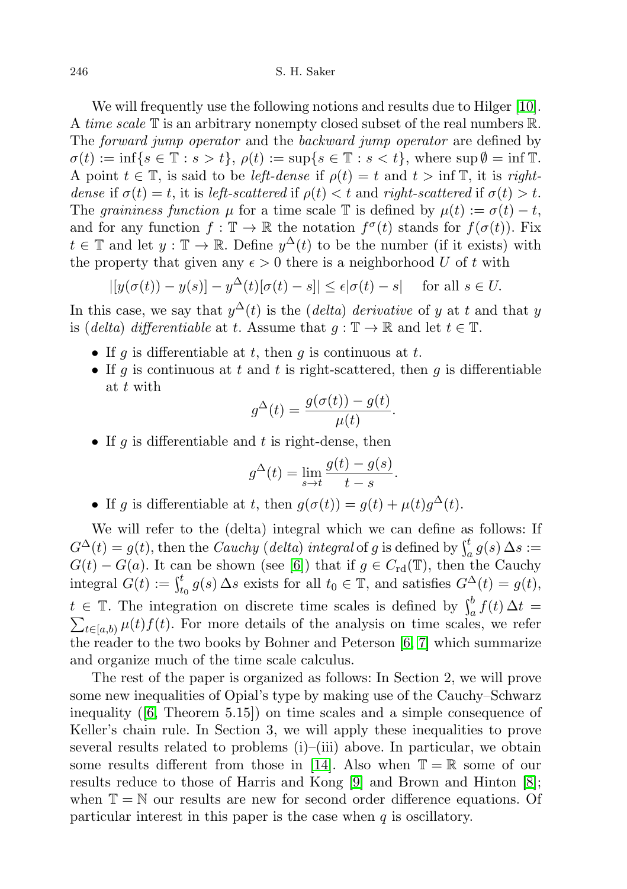246 S. H. Saker

We will frequently use the following notions and results due to Hilger [\[10\]](#page-17-11). A time scale  $\mathbb T$  is an arbitrary nonempty closed subset of the real numbers  $\mathbb R$ . The *forward jump operator* and the *backward jump operator* are defined by  $\sigma(t) := \inf\{s \in \mathbb{T} : s > t\}, \rho(t) := \sup\{s \in \mathbb{T} : s < t\}, \text{ where } \sup \emptyset = \inf \mathbb{T}.$ A point  $t \in \mathbb{T}$ , is said to be *left-dense* if  $\rho(t) = t$  and  $t > \inf \mathbb{T}$ , it is rightdense if  $\sigma(t) = t$ , it is left-scattered if  $\rho(t) < t$  and right-scattered if  $\sigma(t) > t$ . The graininess function  $\mu$  for a time scale T is defined by  $\mu(t) := \sigma(t) - t$ , and for any function  $f: \mathbb{T} \to \mathbb{R}$  the notation  $f^{\sigma}(t)$  stands for  $f(\sigma(t))$ . Fix  $t \in \mathbb{T}$  and let  $y : \mathbb{T} \to \mathbb{R}$ . Define  $y^{\Delta}(t)$  to be the number (if it exists) with the property that given any  $\epsilon > 0$  there is a neighborhood U of t with

$$
|[y(\sigma(t)) - y(s)] - y^{\Delta}(t)[\sigma(t) - s]| \le \epsilon |\sigma(t) - s| \quad \text{ for all } s \in U.
$$

In this case, we say that  $y^{\Delta}(t)$  is the (*delta*) *derivative* of y at t and that y is (delta) differentiable at t. Assume that  $q : \mathbb{T} \to \mathbb{R}$  and let  $t \in \mathbb{T}$ .

- If g is differentiable at t, then g is continuous at t.
- If g is continuous at t and t is right-scattered, then g is differentiable at t with

$$
g^{\Delta}(t) = \frac{g(\sigma(t)) - g(t)}{\mu(t)}.
$$

• If g is differentiable and t is right-dense, then

$$
g^{\Delta}(t) = \lim_{s \to t} \frac{g(t) - g(s)}{t - s}.
$$

• If g is differentiable at t, then  $g(\sigma(t)) = g(t) + \mu(t)g^{\Delta}(t)$ .

We will refer to the (delta) integral which we can define as follows: If  $G^{\Delta}(t) = g(t)$ , then the *Cauchy* (*delta*) integral of g is defined by  $\int_a^t g(s) \Delta s :=$  $G(t) - G(a)$ . It can be shown (see [\[6\]](#page-17-12)) that if  $g \in C_{\rm rd}(\mathbb{T})$ , then the Cauchy integral  $G(t) := \int_{t_0}^t g(s) \, \Delta s$  exists for all  $t_0 \in \mathbb{T}$ , and satisfies  $G^{\Delta}(t) = g(t)$ ,  $t \in \mathbb{T}$ . The integration on discrete time scales is defined by  $\int_a^b f(t) \Delta t =$  $\sum_{t\in[a,b)} \mu(t) f(t)$ . For more details of the analysis on time scales, we refer the reader to the two books by Bohner and Peterson [\[6,](#page-17-12) [7\]](#page-17-13) which summarize and organize much of the time scale calculus.

The rest of the paper is organized as follows: In Section 2, we will prove some new inequalities of Opial's type by making use of the Cauchy–Schwarz inequality ([\[6,](#page-17-12) Theorem 5.15]) on time scales and a simple consequence of Keller's chain rule. In Section 3, we will apply these inequalities to prove several results related to problems (i)–(iii) above. In particular, we obtain some results different from those in [\[14\]](#page-17-1). Also when  $\mathbb{T} = \mathbb{R}$  some of our results reduce to those of Harris and Kong [\[9\]](#page-17-14) and Brown and Hinton [\[8\]](#page-17-15); when  $\mathbb{T} = \mathbb{N}$  our results are new for second order difference equations. Of particular interest in this paper is the case when  $q$  is oscillatory.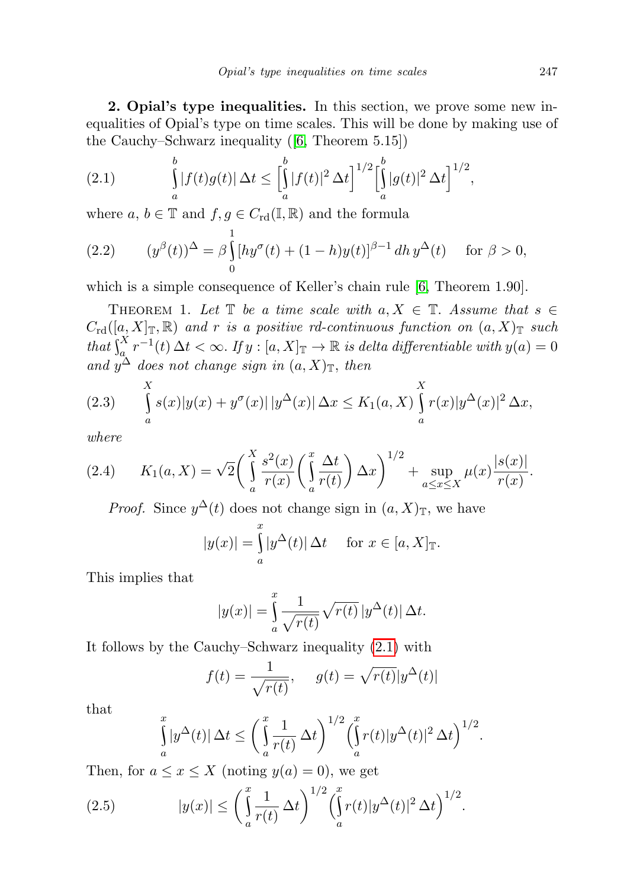2. Opial's type inequalities. In this section, we prove some new inequalities of Opial's type on time scales. This will be done by making use of the Cauchy–Schwarz inequality ([\[6,](#page-17-12) Theorem 5.15])

<span id="page-4-0"></span>(2.1) 
$$
\int_{a}^{b} |f(t)g(t)| \, \Delta t \leq \left[ \int_{a}^{b} |f(t)|^{2} \, \Delta t \right]^{1/2} \left[ \int_{a}^{b} |g(t)|^{2} \, \Delta t \right]^{1/2},
$$

where  $a, b \in \mathbb{T}$  and  $f, g \in C_{\text{rd}}(\mathbb{I}, \mathbb{R})$  and the formula

<span id="page-4-2"></span>(2.2) 
$$
(y^{\beta}(t))^{\Delta} = \beta \int_{0}^{1} [hy^{\sigma}(t) + (1-h)y(t)]^{\beta-1} dh y^{\Delta}(t) \text{ for } \beta > 0,
$$

which is a simple consequence of Keller's chain rule [\[6,](#page-17-12) Theorem 1.90].

THEOREM 1. Let  $\mathbb T$  be a time scale with  $a, X \in \mathbb T$ . Assume that  $s \in \mathbb T$  $C_{\rm rd}([a, X]_{\mathbb{T}}, \mathbb{R})$  and r is a positive rd-continuous function on  $(a, X)_{\mathbb{T}}$  such that  $\int_a^X r^{-1}(t) \, \Delta t < \infty$ . If  $y : [a, X]_{\mathbb{T}} \to \mathbb{R}$  is delta differentiable with  $y(a) = 0$ and  $y^{\Delta}$  does not change sign in  $(a, X)_{\mathbb{T}}$ , then

<span id="page-4-3"></span>(2.3) 
$$
\int_{a}^{X} s(x)|y(x) + y^{\sigma}(x)| |y^{\Delta}(x)| \Delta x \le K_1(a, X) \int_{a}^{X} r(x)|y^{\Delta}(x)|^2 \Delta x,
$$

where

$$
(2.4) \qquad K_1(a,X) = \sqrt{2} \left( \int_a^X \frac{s^2(x)}{r(x)} \left( \int_a^x \frac{\Delta t}{r(t)} \right) \Delta x \right)^{1/2} + \sup_{a \le x \le X} \mu(x) \frac{|s(x)|}{r(x)}.
$$

*Proof.* Since  $y^{\Delta}(t)$  does not change sign in  $(a, X)_{\mathbb{T}}$ , we have

$$
|y(x)| = \int_{a}^{x} |y^{\Delta}(t)| \, \Delta t \quad \text{for } x \in [a, X]_{\mathbb{T}}.
$$

This implies that

$$
|y(x)| = \int_{a}^{x} \frac{1}{\sqrt{r(t)}} \sqrt{r(t)} |y^{\Delta}(t)| \Delta t.
$$

It follows by the Cauchy–Schwarz inequality [\(2.1\)](#page-4-0) with

$$
f(t) = \frac{1}{\sqrt{r(t)}}, \quad g(t) = \sqrt{r(t)} |y^{\Delta}(t)|
$$

that

<span id="page-4-1"></span>
$$
\int_{a}^{x} |y^{\Delta}(t)| \, \Delta t \le \left(\int_{a}^{x} \frac{1}{r(t)} \, \Delta t\right)^{1/2} \left(\int_{a}^{x} r(t) |y^{\Delta}(t)|^{2} \, \Delta t\right)^{1/2}.
$$

Then, for  $a \leq x \leq X$  (noting  $y(a) = 0$ ), we get

(2.5) 
$$
|y(x)| \leq \left(\int_a^x \frac{1}{r(t)} \Delta t\right)^{1/2} \left(\int_a^x r(t) |y^{\Delta}(t)|^2 \Delta t\right)^{1/2}.
$$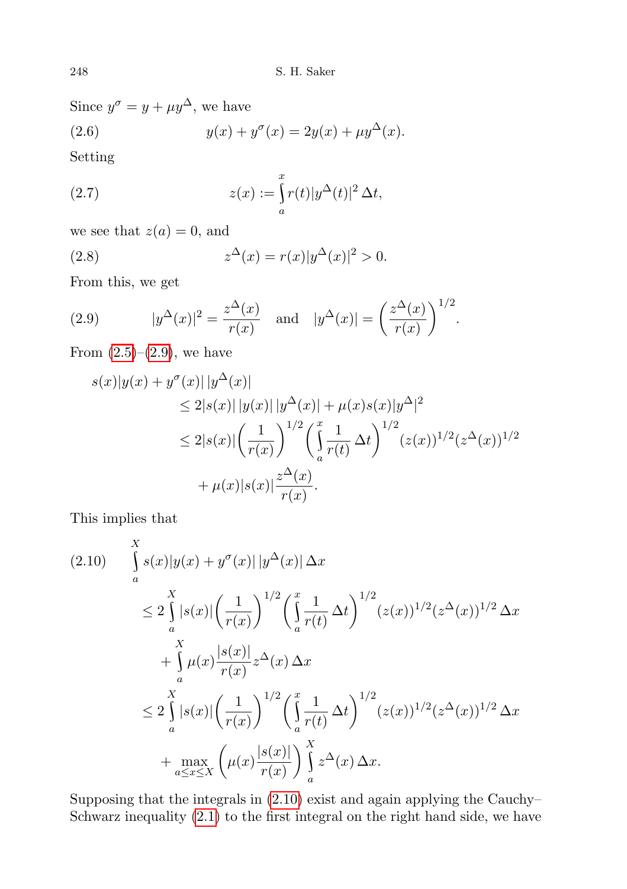Since  $y^{\sigma} = y + \mu y^{\Delta}$ , we have (2.6)  $y(x) + y^{\sigma}(x) = 2y(x) + \mu y^{\Delta}(x)$ .

Setting

<span id="page-5-3"></span>(2.7) 
$$
z(x) := \int_{a}^{x} r(t) |y^{\Delta}(t)|^2 \Delta t,
$$

we see that  $z(a) = 0$ , and

<span id="page-5-2"></span>(2.8) 
$$
z^{\Delta}(x) = r(x)|y^{\Delta}(x)|^2 > 0.
$$

From this, we get

<span id="page-5-0"></span>(2.9) 
$$
|y^{\Delta}(x)|^2 = \frac{z^{\Delta}(x)}{r(x)}
$$
 and  $|y^{\Delta}(x)| = \left(\frac{z^{\Delta}(x)}{r(x)}\right)^{1/2}$ .

From  $(2.5)$ – $(2.9)$ , we have

$$
s(x)|y(x) + y^{\sigma}(x)||y^{\Delta}(x)|
$$
  
\n
$$
\leq 2|s(x)||y(x)||y^{\Delta}(x)| + \mu(x)s(x)|y^{\Delta}|^{2}
$$
  
\n
$$
\leq 2|s(x)|\left(\frac{1}{r(x)}\right)^{1/2} \left(\int_{a}^{x} \frac{1}{r(t)} \Delta t\right)^{1/2} (z(x))^{1/2} (z^{\Delta}(x))^{1/2}
$$
  
\n
$$
+ \mu(x)|s(x)| \frac{z^{\Delta}(x)}{r(x)}.
$$

This implies that

<span id="page-5-1"></span>
$$
(2.10) \int_{a}^{X} s(x)|y(x) + y^{\sigma}(x)||y^{\Delta}(x)| \Delta x
$$
  
\n
$$
\leq 2 \int_{a}^{X} |s(x)| \left(\frac{1}{r(x)}\right)^{1/2} \left(\int_{a}^{x} \frac{1}{r(t)} \Delta t\right)^{1/2} (z(x))^{1/2} (z^{\Delta}(x))^{1/2} \Delta x
$$
  
\n
$$
+ \int_{a}^{X} \mu(x) \frac{|s(x)|}{r(x)} z^{\Delta}(x) \Delta x
$$
  
\n
$$
\leq 2 \int_{a}^{X} |s(x)| \left(\frac{1}{r(x)}\right)^{1/2} \left(\int_{a}^{x} \frac{1}{r(t)} \Delta t\right)^{1/2} (z(x))^{1/2} (z^{\Delta}(x))^{1/2} \Delta x
$$
  
\n
$$
+ \max_{a \leq x \leq X} \left(\mu(x) \frac{|s(x)|}{r(x)}\right) \int_{a}^{X} z^{\Delta}(x) \Delta x.
$$

Supposing that the integrals in [\(2.10\)](#page-5-1) exist and again applying the Cauchy– Schwarz inequality [\(2.1\)](#page-4-0) to the first integral on the right hand side, we have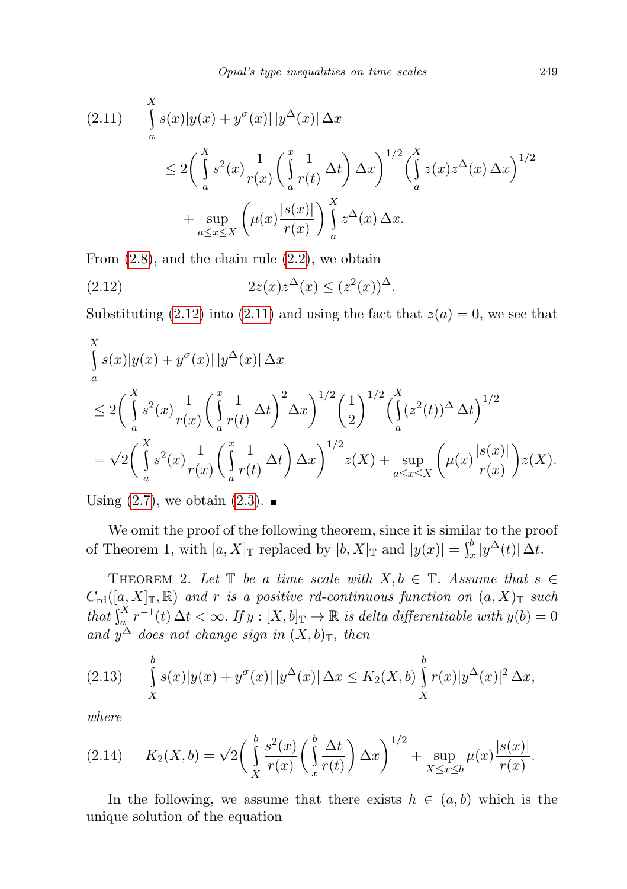<span id="page-6-1"></span>
$$
(2.11) \int_{a}^{X} s(x)|y(x) + y^{\sigma}(x)| |y^{\Delta}(x)| \Delta x
$$
  
\n
$$
\leq 2\left(\int_{a}^{X} s^{2}(x) \frac{1}{r(x)} \left(\int_{a}^{x} \frac{1}{r(t)} \Delta t\right) \Delta x\right)^{1/2} \left(\int_{a}^{X} z(x) z^{\Delta}(x) \Delta x\right)^{1/2}
$$
  
\n
$$
+ \sup_{a \leq x \leq X} \left(\mu(x) \frac{|s(x)|}{r(x)}\right) \int_{a}^{X} z^{\Delta}(x) \Delta x.
$$

From  $(2.8)$ , and the chain rule  $(2.2)$ , we obtain

<span id="page-6-0"></span>
$$
(2.12)\qquad \qquad 2z(x)z^{\Delta}(x)\leq (z^2(x))^{\Delta}.
$$

Substituting [\(2.12\)](#page-6-0) into [\(2.11\)](#page-6-1) and using the fact that  $z(a) = 0$ , we see that

$$
\int_{a}^{X} s(x)|y(x) + y^{\sigma}(x)||y^{\Delta}(x)| \Delta x
$$
\n
$$
\leq 2\left(\int_{a}^{X} s^{2}(x)\frac{1}{r(x)}\left(\int_{a}^{x}\frac{1}{r(t)}\Delta t\right)^{2}\Delta x\right)^{1/2}\left(\frac{1}{2}\right)^{1/2}\left(\int_{a}^{X}(z^{2}(t))^{\Delta}\Delta t\right)^{1/2}
$$
\n
$$
= \sqrt{2}\left(\int_{a}^{X} s^{2}(x)\frac{1}{r(x)}\left(\int_{a}^{x}\frac{1}{r(t)}\Delta t\right)\Delta x\right)^{1/2}z(X) + \sup_{a \leq x \leq X}\left(\mu(x)\frac{|s(x)|}{r(x)}\right)z(X).
$$

Using  $(2.7)$ , we obtain  $(2.3)$ .

We omit the proof of the following theorem, since it is similar to the proof of Theorem 1, with  $[a, X]_{\mathbb{T}}$  replaced by  $[b, X]_{\mathbb{T}}$  and  $|y(x)| = \int_x^b |y^{\Delta}(t)| \Delta t$ .

THEOREM 2. Let  $\mathbb T$  be a time scale with  $X, b \in \mathbb T$ . Assume that  $s \in \mathbb T$  $C_{\rm rd}([a, X]_{\mathbb{T}}, \mathbb{R})$  and r is a positive rd-continuous function on  $(a, X)_{\mathbb{T}}$  such that  $\int_{a_1}^{X} r^{-1}(t) \, \Delta t < \infty$ . If  $y : [X, b]_{\mathbb{T}} \to \mathbb{R}$  is delta differentiable with  $y(b) = 0$ and  $y^{\Delta}$  does not change sign in  $(X, b)$ <sub>T</sub>, then

(2.13) 
$$
\int_{X}^{b} s(x)|y(x) + y^{\sigma}(x)| |y^{\Delta}(x)| \Delta x \le K_2(X,b) \int_{X}^{b} r(x)|y^{\Delta}(x)|^2 \Delta x,
$$

where

$$
(2.14) \t K_2(X,b) = \sqrt{2} \left( \int_X^b \frac{s^2(x)}{r(x)} \left( \int_x^b \frac{\Delta t}{r(t)} \right) \Delta x \right)^{1/2} + \sup_{X \le x \le b} \mu(x) \frac{|s(x)|}{r(x)}.
$$

In the following, we assume that there exists  $h \in (a, b)$  which is the unique solution of the equation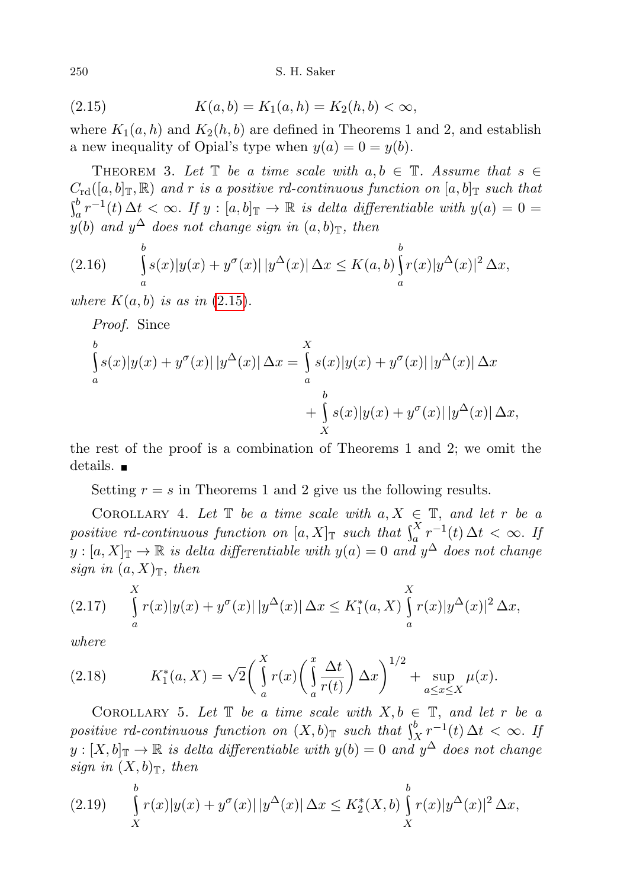250 S. H. Saker

<span id="page-7-0"></span>(2.15) 
$$
K(a,b) = K_1(a,h) = K_2(h,b) < \infty,
$$

where  $K_1(a, h)$  and  $K_2(h, b)$  are defined in Theorems 1 and 2, and establish a new inequality of Opial's type when  $y(a) = 0 = y(b)$ .

THEOREM 3. Let  $\mathbb T$  be a time scale with  $a, b \in \mathbb T$ . Assume that  $s \in \mathbb T$  $C_{\rm rd}([a, b]_{\mathbb{T}}, \mathbb{R})$  and r is a positive rd-continuous function on  $[a, b]_{\mathbb{T}}$  such that  $\int_a^b r^{-1}(t) \, \Delta t \, < \infty$ . If  $y : [a, b]_{\mathbb{T}} \to \mathbb{R}$  is delta differentiable with  $y(a) = 0$  $y(b)$  and  $y^{\Delta}$  does not change sign in  $(a, b)_{\mathbb{T}}$ , then

<span id="page-7-4"></span>(2.16) 
$$
\int_{a}^{b} s(x)|y(x) + y^{\sigma}(x)| |y^{\Delta}(x)| \Delta x \leq K(a, b) \int_{a}^{b} r(x)|y^{\Delta}(x)|^{2} \Delta x,
$$

where  $K(a, b)$  is as in  $(2.15)$  $(2.15)$ .

Proof. Since b<br>( a  $s(x)|y(x) + y^{\sigma}(x)||y^{\Delta}(x)| \Delta x =$  $\overline{\Lambda}$ a  $s(x)|y(x) + y^{\sigma}(x)| |y^{\Delta}(x)| \Delta x$  $+$ b<br>( X  $s(x)|y(x) + y^{\sigma}(x)||y^{\Delta}(x)| \Delta x,$ 

the rest of the proof is a combination of Theorems 1 and 2; we omit the details.

Setting  $r = s$  in Theorems 1 and 2 give us the following results.

COROLLARY 4. Let  $\mathbb T$  be a time scale with  $a, X \in \mathbb T$ , and let r be a positive rd-continuous function on  $[a, X]_{\mathbb{T}}$  such that  $\int_a^X r^{-1}(t) \, \Delta t \, < \infty$ . If  $y:[a, X]_{\mathbb{T}} \to \mathbb{R}$  is delta differentiable with  $y(a) = 0$  and  $y^{\Delta}$  does not change sign in  $(a, X)_{\mathbb{T}}$ , then

<span id="page-7-2"></span>
$$
(2.17) \qquad \int_{a}^{X} r(x)|y(x) + y^{\sigma}(x)| \, |y^{\Delta}(x)| \, \Delta x \leq K_1^*(a, X) \int_{a}^{X} r(x)|y^{\Delta}(x)|^2 \, \Delta x,
$$

where

<span id="page-7-3"></span>(2.18) 
$$
K_1^*(a, X) = \sqrt{2} \left( \int_a^X r(x) \left( \int_a^x \frac{\Delta t}{r(t)} \right) \Delta x \right)^{1/2} + \sup_{a \le x \le X} \mu(x).
$$

COROLLARY 5. Let  $\mathbb T$  be a time scale with  $X, b \in \mathbb T$ , and let r be a positive rd-continuous function on  $(X, b)$ <sub>T</sub> such that  $\int_X^b r^{-1}(t) \, \Delta t < \infty$ . If  $y : [X, b]_{\mathbb{T}} \to \mathbb{R}$  is delta differentiable with  $y(b) = 0$  and  $y^{\Delta}$  does not change sign in  $(X, b)$ <sub>T</sub>, then

<span id="page-7-1"></span>(2.19) 
$$
\int_{X}^{b} r(x)|y(x) + y^{\sigma}(x)| |y^{\Delta}(x)| \Delta x \leq K_{2}^{*}(X,b) \int_{X}^{b} r(x)|y^{\Delta}(x)|^{2} \Delta x,
$$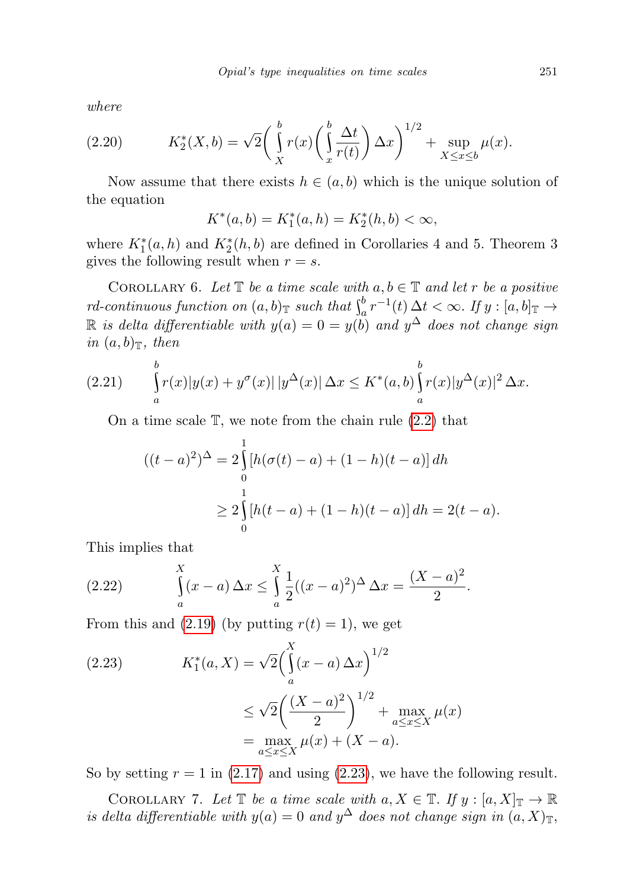where

(2.20) 
$$
K_2^*(X,b) = \sqrt{2} \left( \int_X^b r(x) \left( \int_x^b \frac{\Delta t}{r(t)} \right) \Delta x \right)^{1/2} + \sup_{X \le x \le b} \mu(x).
$$

Now assume that there exists  $h \in (a, b)$  which is the unique solution of the equation

$$
K^*(a, b) = K_1^*(a, h) = K_2^*(h, b) < \infty,
$$

where  $K_1^*(a, h)$  and  $K_2^*(h, b)$  are defined in Corollaries 4 and 5. Theorem 3 gives the following result when  $r = s$ .

COROLLARY 6. Let  $\mathbb T$  be a time scale with  $a, b \in \mathbb T$  and let r be a positive rd-continuous function on  $(a, b)$ <sup>T</sup> such that  $\int_a^b r^{-1}(t) \Delta t < \infty$ . If  $y : [a, b]$ <sup>T</sup>  $\rightarrow$  $\mathbb R$  is delta differentiable with  $y(a) = 0 = y(b)$  and  $y^{\Delta}$  does not change sign in  $(a, b)$ <sub>T</sub>, then

(2.21) 
$$
\int_{a}^{b} r(x)|y(x) + y^{\sigma}(x)| |y^{\Delta}(x)| \Delta x \leq K^{*}(a,b) \int_{a}^{b} r(x)|y^{\Delta}(x)|^{2} \Delta x.
$$

On a time scale  $\mathbb{T}$ , we note from the chain rule  $(2.2)$  that

$$
((t-a)^2)^{\Delta} = 2 \int_{0}^{1} [h(\sigma(t) - a) + (1-h)(t-a)] dh
$$
  
\n
$$
\geq 2 \int_{0}^{1} [h(t-a) + (1-h)(t-a)] dh = 2(t-a).
$$

This implies that

<span id="page-8-0"></span>(2.22) 
$$
\int_{a}^{X} (x-a) \Delta x \leq \int_{a}^{X} \frac{1}{2} ((x-a)^{2})^{\Delta} \Delta x = \frac{(X-a)^{2}}{2}.
$$

From this and  $(2.19)$  (by putting  $r(t) = 1$ ), we get

(2.23) 
$$
K_1^*(a, X) = \sqrt{2} \left( \int_a^X (x - a) \Delta x \right)^{1/2} \\ \leq \sqrt{2} \left( \frac{(X - a)^2}{2} \right)^{1/2} + \max_{a \leq x \leq X} \mu(x) \\ = \max_{a \leq x \leq X} \mu(x) + (X - a).
$$

So by setting  $r = 1$  in [\(2.17\)](#page-7-2) and using [\(2.23\)](#page-8-0), we have the following result.

COROLLARY 7. Let  $\mathbb T$  be a time scale with  $a, X \in \mathbb T$ . If  $y : [a, X]_{\mathbb T} \to \mathbb R$ is delta differentiable with  $y(a) = 0$  and  $y^{\Delta}$  does not change sign in  $(a, X)_{\mathbb{T}}$ ,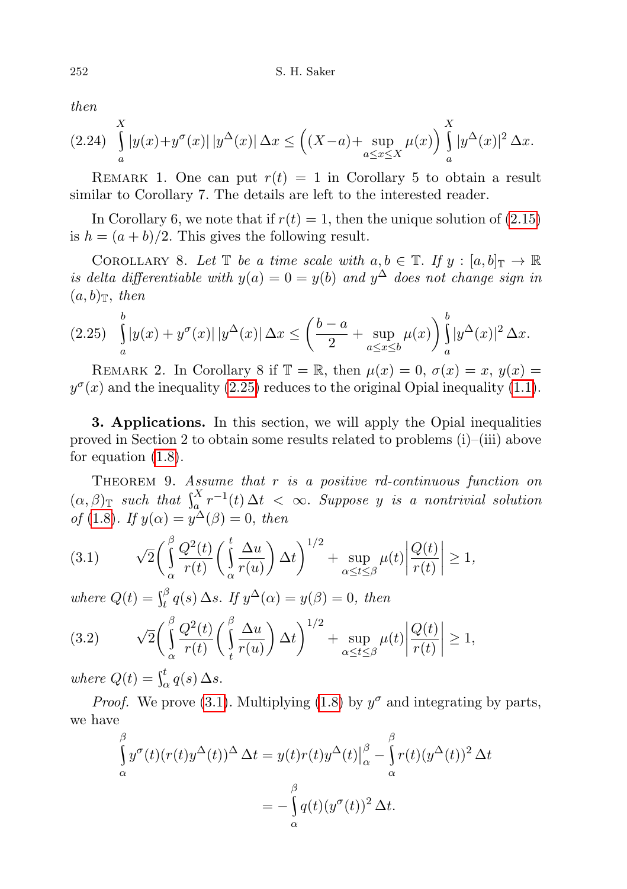then

$$
(2.24)\int_a^X |y(x)+y^\sigma(x)| \, |y^\Delta(x)| \, \Delta x \le \left( (X-a) + \sup_{a \le x \le X} \mu(x) \right) \int_a^X |y^\Delta(x)|^2 \, \Delta x.
$$

REMARK 1. One can put  $r(t) = 1$  in Corollary 5 to obtain a result similar to Corollary 7. The details are left to the interested reader.

In Corollary 6, we note that if  $r(t) = 1$ , then the unique solution of  $(2.15)$ is  $h = (a + b)/2$ . This gives the following result.

COROLLARY 8. Let  $\mathbb T$  be a time scale with  $a, b \in \mathbb T$ . If  $y : [a, b]_{\mathbb T} \to \mathbb R$ is delta differentiable with  $y(a) = 0 = y(b)$  and  $y^{\Delta}$  does not change sign in  $(a, b)$ <sub>T</sub>, then

<span id="page-9-0"></span>
$$
(2.25) \quad \int_{a}^{b} |y(x) + y^{\sigma}(x)| \, |y^{\Delta}(x)| \, \Delta x \le \left(\frac{b-a}{2} + \sup_{a \le x \le b} \mu(x)\right) \int_{a}^{b} |y^{\Delta}(x)|^2 \, \Delta x.
$$

REMARK 2. In Corollary 8 if  $\mathbb{T} = \mathbb{R}$ , then  $\mu(x) = 0$ ,  $\sigma(x) = x$ ,  $y(x) =$  $y^{\sigma}(x)$  and the inequality [\(2.25\)](#page-9-0) reduces to the original Opial inequality [\(1.1\)](#page-0-0).

3. Applications. In this section, we will apply the Opial inequalities proved in Section 2 to obtain some results related to problems (i)–(iii) above for equation [\(1.8\)](#page-2-0).

THEOREM 9. Assume that  $r$  is a positive rd-continuous function on  $(\alpha, \beta)_{\mathbb{T}}$  such that  $\int_a^X r^{-1}(t) \Delta t < \infty$ . Suppose y is a nontrivial solution of [\(1](#page-2-0).8). If  $y(\alpha) = y^{\Delta}(\beta) = 0$ , then

<span id="page-9-1"></span>(3.1) 
$$
\sqrt{2}\left(\int_{\alpha}^{\beta}\frac{Q^2(t)}{r(t)}\left(\int_{\alpha}^{t}\frac{\Delta u}{r(u)}\right)\Delta t\right)^{1/2}+\sup_{\alpha\leq t\leq\beta}\mu(t)\left|\frac{Q(t)}{r(t)}\right|\geq 1,
$$

where  $Q(t) = \int_t^\beta q(s) \, \Delta s$ . If  $y^\Delta(\alpha) = y(\beta) = 0$ , then

<span id="page-9-2"></span>(3.2) 
$$
\sqrt{2}\left(\int_{\alpha}^{\beta}\frac{Q^2(t)}{r(t)}\left(\int_{t}^{\beta}\frac{\Delta u}{r(u)}\right)\Delta t\right)^{1/2}+\sup_{\alpha\leq t\leq\beta}\mu(t)\left|\frac{Q(t)}{r(t)}\right|\geq 1,
$$

where  $Q(t) = \int_{\alpha}^{t} q(s) \, \Delta s$ .

*Proof.* We prove [\(3.1\)](#page-9-1). Multiplying [\(1.8\)](#page-2-0) by  $y^{\sigma}$  and integrating by parts, we have

$$
\int_{\alpha}^{\beta} y^{\sigma}(t)(r(t)y^{\Delta}(t))^{\Delta} \Delta t = y(t)r(t)y^{\Delta}(t)|_{\alpha}^{\beta} - \int_{\alpha}^{\beta} r(t)(y^{\Delta}(t))^2 \Delta t
$$

$$
= -\int_{\alpha}^{\beta} q(t)(y^{\sigma}(t))^2 \Delta t.
$$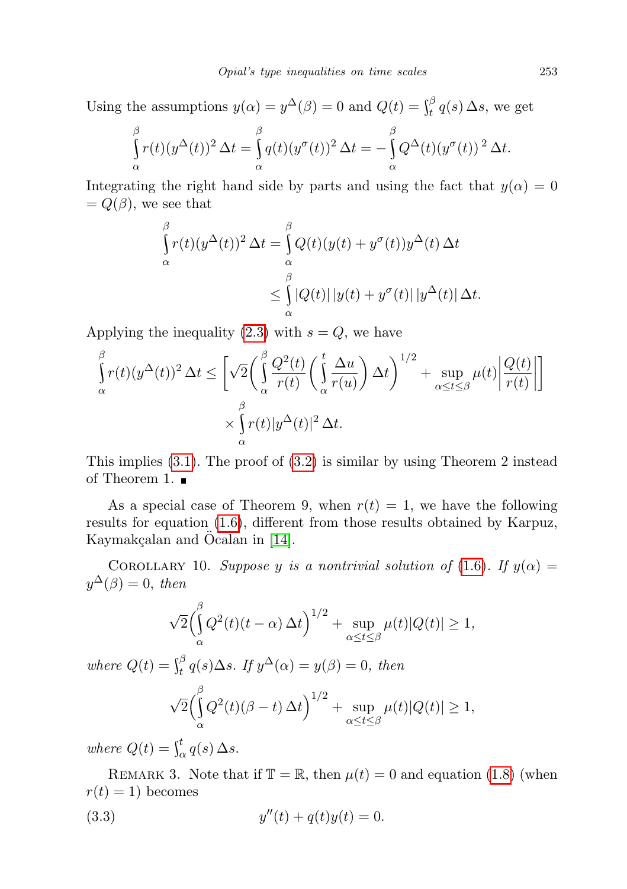Using the assumptions  $y(\alpha) = y^{\Delta}(\beta) = 0$  and  $Q(t) = \int_t^{\beta} q(s) \Delta s$ , we get

$$
\int_{\alpha}^{\beta} r(t)(y^{\Delta}(t))^2 \,\Delta t = \int_{\alpha}^{\beta} q(t)(y^{\sigma}(t))^2 \,\Delta t = -\int_{\alpha}^{\beta} Q^{\Delta}(t)(y^{\sigma}(t))^2 \,\Delta t.
$$

Integrating the right hand side by parts and using the fact that  $y(\alpha) = 0$  $= Q(\beta)$ , we see that

$$
\int_{\alpha}^{\beta} r(t)(y^{\Delta}(t))^2 \,\Delta t = \int_{\alpha}^{\beta} Q(t)(y(t) + y^{\sigma}(t))y^{\Delta}(t) \,\Delta t
$$
\n
$$
\leq \int_{\alpha}^{\beta} |Q(t)| \, |y(t) + y^{\sigma}(t)| \, |y^{\Delta}(t)| \,\Delta t.
$$

Applying the inequality  $(2.3)$  with  $s = Q$ , we have

$$
\int_{\alpha}^{\beta} r(t)(y^{\Delta}(t))^2 \,\Delta t \leq \left[\sqrt{2}\left(\int_{\alpha}^{\beta} \frac{Q^2(t)}{r(t)}\left(\int_{\alpha}^{t} \frac{\Delta u}{r(u)}\right) \Delta t\right)^{1/2} + \sup_{\alpha \leq t \leq \beta} \mu(t) \left|\frac{Q(t)}{r(t)}\right|\right] \times \int_{\alpha}^{\beta} r(t)|y^{\Delta}(t)|^2 \,\Delta t.
$$

This implies  $(3.1)$ . The proof of  $(3.2)$  is similar by using Theorem 2 instead of Theorem 1.  $\blacksquare$ 

As a special case of Theorem 9, when  $r(t) = 1$ , we have the following results for equation [\(1.6\)](#page-1-2), different from those results obtained by Karpuz, Kaymakçalan and Öcalan in [\[14\]](#page-17-1).

COROLLARY 10. Suppose y is a nontrivial solution of (1.[6\)](#page-1-2). If  $y(\alpha) =$  $y^{\Delta}(\beta) = 0$ , then

$$
\sqrt{2}\left(\int_{\alpha}^{\beta} Q^2(t)(t-\alpha)\,\Delta t\right)^{1/2} + \sup_{\alpha \le t \le \beta} \mu(t)|Q(t)| \ge 1,
$$

where  $Q(t) = \int_t^\beta q(s) \Delta s$ . If  $y^\Delta(\alpha) = y(\beta) = 0$ , then

<span id="page-10-0"></span>
$$
\sqrt{2}\left(\int_{\alpha}^{\beta} Q^2(t)(\beta - t) \Delta t\right)^{1/2} + \sup_{\alpha \le t \le \beta} \mu(t)|Q(t)| \ge 1,
$$

where  $Q(t) = \int_{\alpha}^{t} q(s) \, \Delta s$ .

REMARK 3. Note that if  $\mathbb{T} = \mathbb{R}$ , then  $\mu(t) = 0$  and equation [\(1.8\)](#page-2-0) (when  $r(t) = 1$ ) becomes

(3.3) 
$$
y''(t) + q(t)y(t) = 0.
$$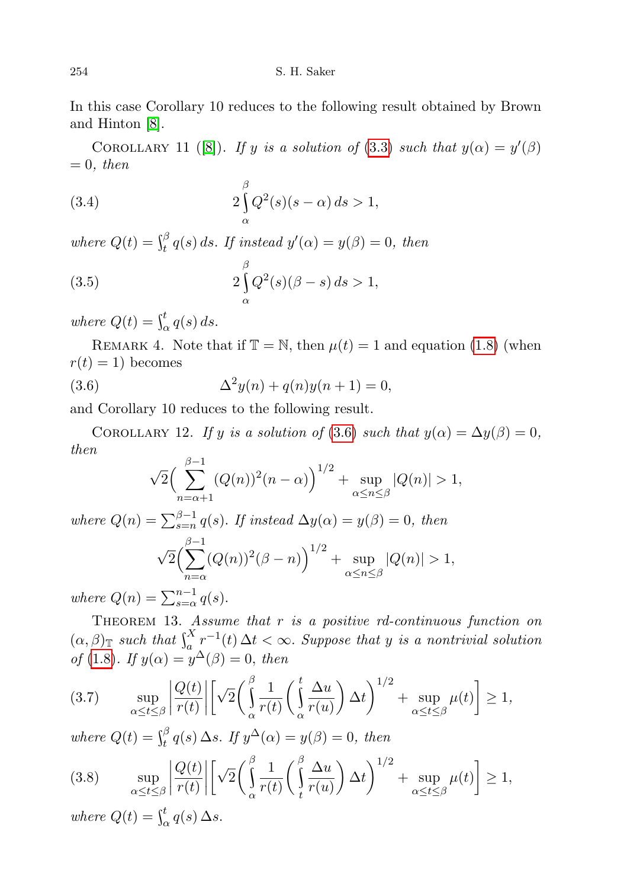In this case Corollary 10 reduces to the following result obtained by Brown and Hinton [\[8\]](#page-17-15).

COROLLARY 11 ([\[8\]](#page-17-15)). If y is a solution of (3.[3\)](#page-10-0) such that  $y(\alpha) = y'(\beta)$  $= 0$ , then

(3.4) 
$$
2\int_{\alpha}^{\beta} Q^2(s)(s-\alpha) ds > 1,
$$

where  $Q(t) = \int_t^\beta q(s) ds$ . If instead  $y'(\alpha) = y(\beta) = 0$ , then

(3.5) 
$$
2\int_{\alpha}^{\beta} Q^2(s)(\beta - s) ds > 1,
$$

where  $Q(t) = \int_{\alpha}^{t} q(s) ds$ .

REMARK 4. Note that if  $\mathbb{T} = \mathbb{N}$ , then  $\mu(t) = 1$  and equation [\(1.8\)](#page-2-0) (when  $r(t) = 1$ ) becomes

(3.6) 
$$
\Delta^2 y(n) + q(n)y(n+1) = 0,
$$

and Corollary 10 reduces to the following result.

COROLLARY 12. If y is a solution of [\(3](#page-11-0).6) such that  $y(\alpha) = \Delta y(\beta) = 0$ , then

<span id="page-11-0"></span>
$$
\sqrt{2}\left(\sum_{n=\alpha+1}^{\beta-1} (Q(n))^2(n-\alpha)\right)^{1/2} + \sup_{\alpha \le n \le \beta} |Q(n)| > 1,
$$

where  $Q(n) = \sum_{s=n}^{\beta-1} q(s)$ . If instead  $\Delta y(\alpha) = y(\beta) = 0$ , then √  $\frac{\beta-1}{2}$  $n=\alpha$  $(Q(n))^{2}(\beta - n)^{1/2} + \sup$  $\alpha \leq n \leq \beta$  $|Q(n)| > 1,$ 

where  $Q(n) = \sum_{s=\alpha}^{n-1} q(s)$ .

THEOREM 13. Assume that  $r$  is a positive rd-continuous function on  $(\alpha, \beta)_{\mathbb{T}}$  such that  $\int_a^X r^{-1}(t) \Delta t < \infty$ . Suppose that y is a nontrivial solution of [\(1](#page-2-0).8). If  $y(\alpha) = y^{\Delta}(\beta) = 0$ , then

<span id="page-11-1"></span>
$$
(3.7) \qquad \sup_{\alpha \le t \le \beta} \left| \frac{Q(t)}{r(t)} \right| \left[ \sqrt{2} \left( \int_{\alpha}^{\beta} \frac{1}{r(t)} \left( \int_{\alpha}^{t} \frac{\Delta u}{r(u)} \right) \Delta t \right)^{1/2} + \sup_{\alpha \le t \le \beta} \mu(t) \right] \ge 1,
$$

where  $Q(t) = \int_t^\beta q(s) \, \Delta s$ . If  $y^\Delta(\alpha) = y(\beta) = 0$ , then

<span id="page-11-2"></span>
$$
(3.8) \qquad \sup_{\alpha \le t \le \beta} \left| \frac{Q(t)}{r(t)} \right| \left[ \sqrt{2} \left( \int_{\alpha}^{\beta} \frac{1}{r(t)} \left( \int_{t}^{\beta} \frac{\Delta u}{r(u)} \right) \Delta t \right)^{1/2} + \sup_{\alpha \le t \le \beta} \mu(t) \right] \ge 1,
$$

where  $Q(t) = \int_{\alpha}^{t} q(s) \, \Delta s$ .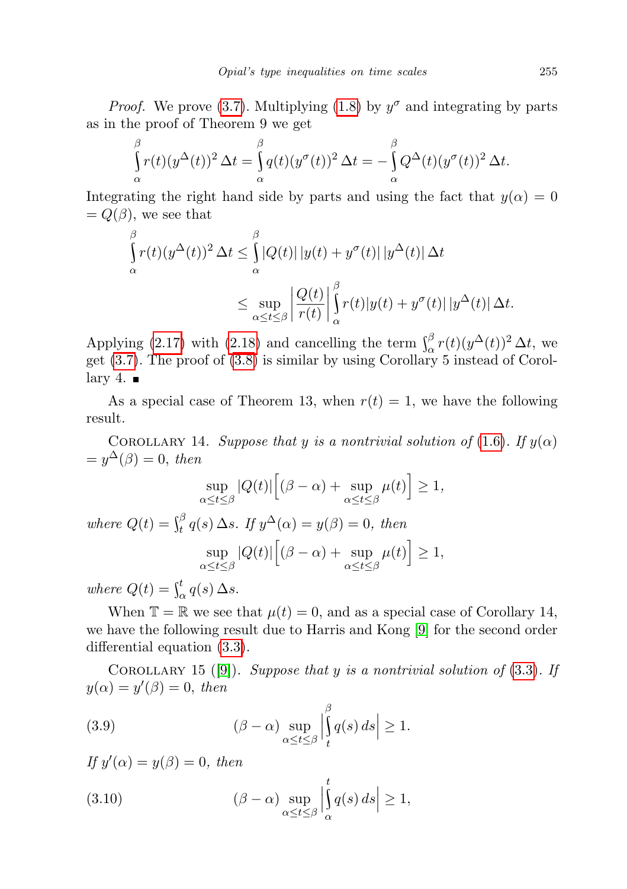*Proof.* We prove [\(3.7\)](#page-11-1). Multiplying [\(1.8\)](#page-2-0) by  $y^{\sigma}$  and integrating by parts as in the proof of Theorem 9 we get

$$
\int_{\alpha}^{\beta} r(t)(y^{\Delta}(t))^2 \,\Delta t = \int_{\alpha}^{\beta} q(t)(y^{\sigma}(t))^2 \,\Delta t = -\int_{\alpha}^{\beta} Q^{\Delta}(t)(y^{\sigma}(t))^2 \,\Delta t.
$$

Integrating the right hand side by parts and using the fact that  $y(\alpha) = 0$  $= Q(\beta)$ , we see that

$$
\int_{\alpha}^{\beta} r(t)(y^{\Delta}(t))^2 \,\Delta t \leq \int_{\alpha}^{\beta} |Q(t)| |y(t) + y^{\sigma}(t)| |y^{\Delta}(t)| \,\Delta t
$$
\n
$$
\leq \sup_{\alpha \leq t \leq \beta} \left| \frac{Q(t)}{r(t)} \right|_{\alpha}^{\beta} r(t) |y(t) + y^{\sigma}(t)| |y^{\Delta}(t)| \,\Delta t.
$$

Applying [\(2.17\)](#page-7-2) with [\(2.18\)](#page-7-3) and cancelling the term  $\int_{\alpha}^{\beta} r(t)(y^{\Delta}(t))^2 \Delta t$ , we get [\(3.7\)](#page-11-1). The proof of [\(3.8\)](#page-11-2) is similar by using Corollary 5 instead of Corol $lary 4.$ 

As a special case of Theorem 13, when  $r(t) = 1$ , we have the following result.

COROLLARY 14. Suppose that y is a nontrivial solution of [\(1](#page-1-2).6). If  $y(\alpha)$  $=y^{\Delta}(\beta)=0$ , then

$$
\sup_{\alpha \le t \le \beta} |Q(t)| \Big[ (\beta - \alpha) + \sup_{\alpha \le t \le \beta} \mu(t) \Big] \ge 1,
$$

where  $Q(t) = \int_t^\beta q(s) \, \Delta s$ . If  $y^\Delta(\alpha) = y(\beta) = 0$ , then sup  $\alpha \leq t \leq \beta$  $|Q(t)|[(\beta-\alpha)+\sup$  $\alpha \leq t \leq \beta$  $\mu(t)\big] \geq 1,$ 

where  $Q(t) = \int_{\alpha}^{t} q(s) \, \Delta s$ .

When  $\mathbb{T} = \mathbb{R}$  we see that  $\mu(t) = 0$ , and as a special case of Corollary 14, we have the following result due to Harris and Kong [\[9\]](#page-17-14) for the second order differential equation [\(3.3\)](#page-10-0).

COROLLARY 15 ([\[9\]](#page-17-14)). Suppose that y is a nontrivial solution of  $(3.3)$  $(3.3)$ . If  $y(\alpha) = y'(\beta) = 0$ , then

(3.9) 
$$
(\beta - \alpha) \sup_{\alpha \le t \le \beta} \left| \int_t^{\beta} q(s) ds \right| \ge 1.
$$

If  $y'(\alpha) = y(\beta) = 0$ , then

(3.10) 
$$
(\beta - \alpha) \sup_{\alpha \le t \le \beta} \left| \int_{\alpha}^{t} q(s) ds \right| \ge 1,
$$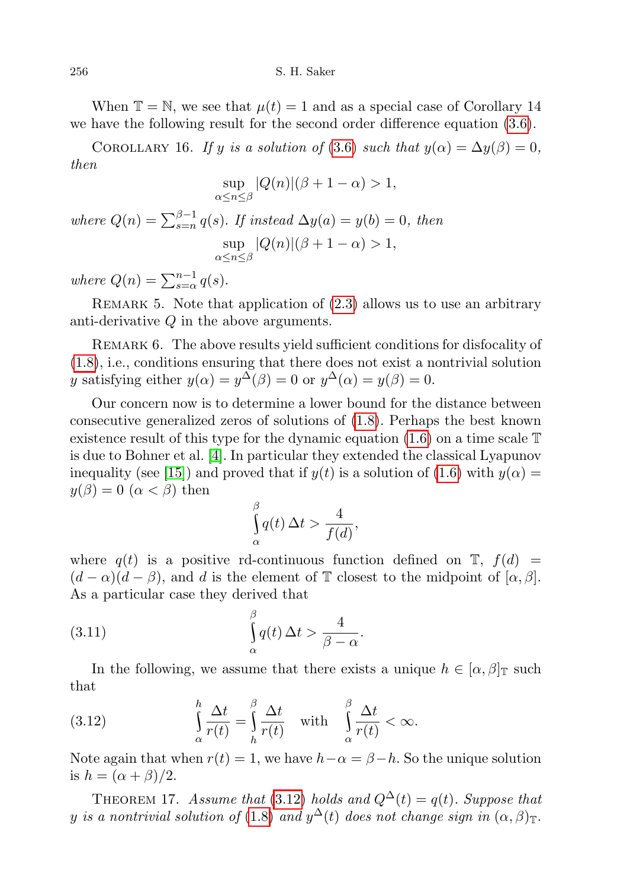When  $\mathbb{T} = \mathbb{N}$ , we see that  $\mu(t) = 1$  and as a special case of Corollary 14 we have the following result for the second order difference equation [\(3.6\)](#page-11-0).

COROLLARY 16. If y is a solution of [\(3](#page-11-0).6) such that  $y(\alpha) = \Delta y(\beta) = 0$ , then

$$
\sup_{\alpha \le n \le \beta} |Q(n)|(\beta + 1 - \alpha) > 1,
$$

where  $Q(n) = \sum_{s=n}^{\beta-1} q(s)$ . If instead  $\Delta y(a) = y(b) = 0$ , then sup  $\alpha \leq n \leq \beta$  $|Q(n)|(\beta + 1 - \alpha) > 1,$ 

where  $Q(n) = \sum_{s=\alpha}^{n-1} q(s)$ .

REMARK 5. Note that application of  $(2.3)$  allows us to use an arbitrary anti-derivative Q in the above arguments.

Remark 6. The above results yield sufficient conditions for disfocality of [\(1.8\)](#page-2-0), i.e., conditions ensuring that there does not exist a nontrivial solution y satisfying either  $y(\alpha) = y^{\Delta}(\beta) = 0$  or  $y^{\Delta}(\alpha) = y(\beta) = 0$ .

Our concern now is to determine a lower bound for the distance between consecutive generalized zeros of solutions of [\(1.8\)](#page-2-0). Perhaps the best known existence result of this type for the dynamic equation  $(1.6)$  on a time scale  $\mathbb T$ is due to Bohner et al. [\[4\]](#page-17-16). In particular they extended the classical Lyapunov inequality (see [\[15\]](#page-17-17)) and proved that if  $y(t)$  is a solution of [\(1.6\)](#page-1-2) with  $y(\alpha) =$  $y(\beta) = 0 \ (\alpha < \beta)$  then

<span id="page-13-1"></span>
$$
\int_{\alpha}^{\beta} q(t) \, \Delta t > \frac{4}{f(d)},
$$

where  $q(t)$  is a positive rd-continuous function defined on  $\mathbb{T}$ ,  $f(d)$  =  $(d - \alpha)(d - \beta)$ , and d is the element of T closest to the midpoint of  $\alpha, \beta$ . As a particular case they derived that

(3.11) 
$$
\int_{\alpha}^{\beta} q(t) \, \Delta t > \frac{4}{\beta - \alpha}.
$$

In the following, we assume that there exists a unique  $h \in [\alpha, \beta]_{\mathbb{T}}$  such that

<span id="page-13-0"></span>(3.12) 
$$
\int_{\alpha}^{h} \frac{\Delta t}{r(t)} = \int_{h}^{\beta} \frac{\Delta t}{r(t)} \quad \text{with} \quad \int_{\alpha}^{\beta} \frac{\Delta t}{r(t)} < \infty.
$$

Note again that when  $r(t) = 1$ , we have  $h - \alpha = \beta - h$ . So the unique solution is  $h = (\alpha + \beta)/2$ .

THEOREM 17. Assume that (3.[12\)](#page-13-0) holds and  $Q^{\Delta}(t) = q(t)$ . Suppose that y is a nontrivial solution of (1.[8\)](#page-2-0) and  $y^{\Delta}(t)$  does not change sign in  $(\alpha,\beta)_{\mathbb{T}}.$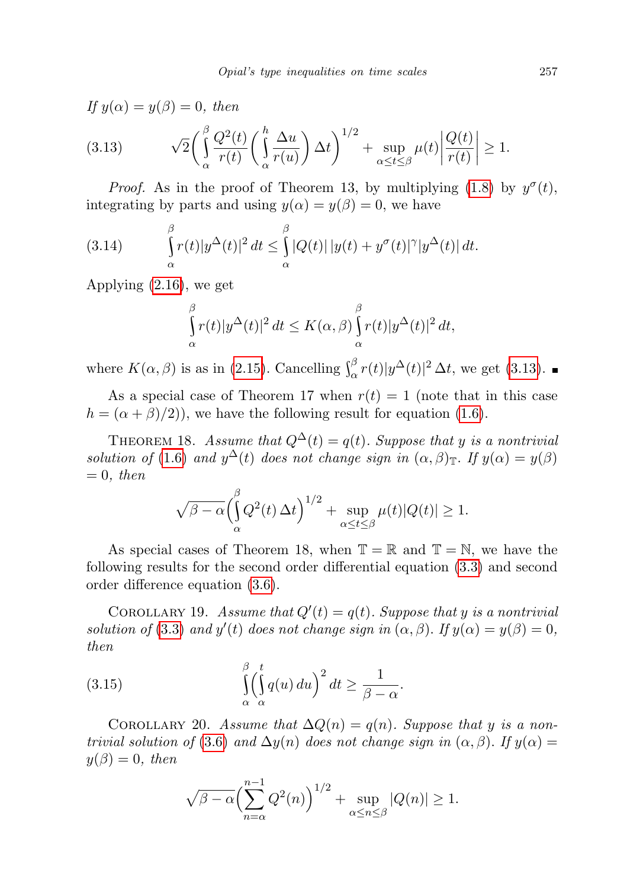<span id="page-14-0"></span>
$$
If y(\alpha) = y(\beta) = 0, then
$$
  
(3.13) 
$$
\sqrt{2} \left( \int_{\alpha}^{\beta} \frac{Q^2(t)}{r(t)} \left( \int_{\alpha}^{h} \frac{\Delta u}{r(u)} \right) \Delta t \right)^{1/2} + \sup_{\alpha \le t \le \beta} \mu(t) \left| \frac{Q(t)}{r(t)} \right| \ge 1.
$$

*Proof.* As in the proof of Theorem 13, by multiplying [\(1.8\)](#page-2-0) by  $y^{\sigma}(t)$ , integrating by parts and using  $y(\alpha) = y(\beta) = 0$ , we have

(3.14) 
$$
\int_{\alpha}^{\beta} r(t)|y^{\Delta}(t)|^2 dt \leq \int_{\alpha}^{\beta} |Q(t)| |y(t) + y^{\sigma}(t)|^{\gamma} |y^{\Delta}(t)| dt.
$$

Applying [\(2.16\)](#page-7-4), we get

$$
\int_{\alpha}^{\beta} r(t)|y^{\Delta}(t)|^2 dt \leq K(\alpha, \beta) \int_{\alpha}^{\beta} r(t)|y^{\Delta}(t)|^2 dt,
$$

where  $K(\alpha, \beta)$  is as in [\(2.15\)](#page-7-0). Cancelling  $\int_{\alpha}^{\beta} r(t)|y^{\Delta}(t)|^2 \Delta t$ , we get [\(3.13\)](#page-14-0).

As a special case of Theorem 17 when  $r(t) = 1$  (note that in this case  $h = (\alpha + \beta)/2)$ , we have the following result for equation [\(1.6\)](#page-1-2).

THEOREM 18. Assume that  $Q^{\Delta}(t) = q(t)$ . Suppose that y is a nontrivial solution of [\(1](#page-1-2).6) and  $y^{\Delta}(t)$  does not change sign in  $(\alpha, \beta)$  T. If  $y(\alpha) = y(\beta)$  $= 0$ , then

$$
\sqrt{\beta-\alpha}\Big(\int_{\alpha}^{\beta} Q^2(t)\,\Delta t\Big)^{1/2} + \sup_{\alpha \le t \le \beta} \mu(t)|Q(t)| \ge 1.
$$

As special cases of Theorem 18, when  $\mathbb{T} = \mathbb{R}$  and  $\mathbb{T} = \mathbb{N}$ , we have the following results for the second order differential equation [\(3.3\)](#page-10-0) and second order difference equation [\(3.6\)](#page-11-0).

COROLLARY 19. Assume that  $Q'(t) = q(t)$ . Suppose that y is a nontrivial solution of [\(3](#page-10-0).3) and  $y'(t)$  does not change sign in  $(\alpha, \beta)$ . If  $y(\alpha) = y(\beta) = 0$ , then

(3.15) 
$$
\int_{\alpha}^{\beta} \left(\int_{\alpha}^{t} q(u) du\right)^{2} dt \ge \frac{1}{\beta - \alpha}.
$$

COROLLARY 20. Assume that  $\Delta Q(n) = q(n)$ . Suppose that y is a non-trivial solution of [\(3](#page-11-0).6) and  $\Delta y(n)$  does not change sign in  $(\alpha, \beta)$ . If  $y(\alpha) =$  $y(\beta) = 0$ , then

<span id="page-14-1"></span>
$$
\sqrt{\beta-\alpha} \Biggl( \sum_{n=\alpha}^{n-1} Q^2(n) \Biggr)^{1/2} + \sup_{\alpha \le n \le \beta} |Q(n)| \ge 1.
$$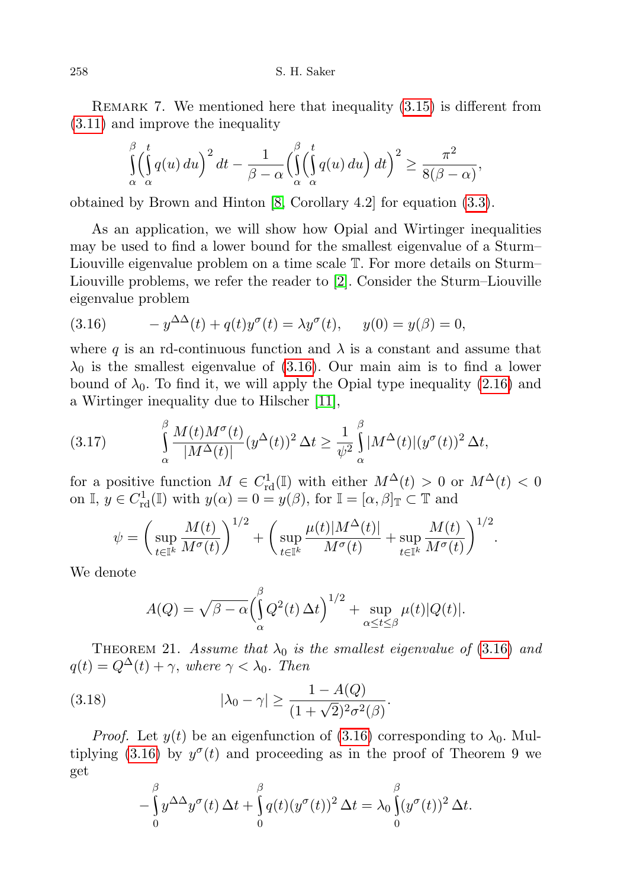258 S. H. Saker

REMARK 7. We mentioned here that inequality  $(3.15)$  is different from [\(3.11\)](#page-13-1) and improve the inequality

$$
\iint_{\alpha}^{\beta} \left( \int_{\alpha}^{t} q(u) du \right)^{2} dt - \frac{1}{\beta - \alpha} \left( \int_{\alpha}^{\beta} \left( \int_{\alpha}^{t} q(u) du \right) dt \right)^{2} \ge \frac{\pi^{2}}{8(\beta - \alpha)},
$$

obtained by Brown and Hinton [\[8,](#page-17-15) Corollary 4.2] for equation [\(3.3\)](#page-10-0).

As an application, we will show how Opial and Wirtinger inequalities may be used to find a lower bound for the smallest eigenvalue of a Sturm– Liouville eigenvalue problem on a time scale T. For more details on Sturm– Liouville problems, we refer the reader to [\[2\]](#page-16-1). Consider the Sturm–Liouville eigenvalue problem

<span id="page-15-0"></span>(3.16) 
$$
-y^{\Delta \Delta}(t) + q(t)y^{\sigma}(t) = \lambda y^{\sigma}(t), \quad y(0) = y(\beta) = 0,
$$

where q is an rd-continuous function and  $\lambda$  is a constant and assume that  $\lambda_0$  is the smallest eigenvalue of [\(3.16\)](#page-15-0). Our main aim is to find a lower bound of  $\lambda_0$ . To find it, we will apply the Opial type inequality [\(2.16\)](#page-7-4) and a Wirtinger inequality due to Hilscher [\[11\]](#page-17-18),

<span id="page-15-1"></span>(3.17) 
$$
\int_{\alpha}^{\beta} \frac{M(t)M^{\sigma}(t)}{|M^{\Delta}(t)|} (y^{\Delta}(t))^2 \Delta t \geq \frac{1}{\psi^2} \int_{\alpha}^{\beta} |M^{\Delta}(t)| (y^{\sigma}(t))^2 \Delta t,
$$

for a positive function  $M \in C^1_{\rm rd}(\mathbb{I})$  with either  $M^{\Delta}(t) > 0$  or  $M^{\Delta}(t) < 0$ on  $\mathbb{I}, y \in C^1_{\text{rd}}(\mathbb{I})$  with  $y(\alpha) = 0 = y(\beta)$ , for  $\mathbb{I} = [\alpha, \beta]_{\mathbb{T}} \subset \mathbb{T}$  and

$$
\psi = \left(\sup_{t \in \mathbb{I}^k} \frac{M(t)}{M^{\sigma}(t)}\right)^{1/2} + \left(\sup_{t \in \mathbb{I}^k} \frac{\mu(t)|M^{\Delta}(t)|}{M^{\sigma}(t)} + \sup_{t \in \mathbb{I}^k} \frac{M(t)}{M^{\sigma}(t)}\right)^{1/2}.
$$

We denote

$$
A(Q) = \sqrt{\beta - \alpha} \left( \int_{\alpha}^{\beta} Q^2(t) \, \Delta t \right)^{1/2} + \sup_{\alpha \le t \le \beta} \mu(t) |Q(t)|.
$$

THEOREM 21. Assume that  $\lambda_0$  is the smallest eigenvalue of (3.[16\)](#page-15-0) and  $q(t) = Q^{\Delta}(t) + \gamma$ , where  $\gamma < \lambda_0$ . Then

(3.18) 
$$
|\lambda_0 - \gamma| \ge \frac{1 - A(Q)}{(1 + \sqrt{2})^2 \sigma^2(\beta)}.
$$

*Proof.* Let  $y(t)$  be an eigenfunction of [\(3.16\)](#page-15-0) corresponding to  $\lambda_0$ . Mul-tiplying [\(3.16\)](#page-15-0) by  $y^{\sigma}(t)$  and proceeding as in the proof of Theorem 9 we get

$$
-\int_{0}^{\beta} y^{\Delta\Delta} y^{\sigma}(t) \,\Delta t + \int_{0}^{\beta} q(t) (y^{\sigma}(t))^{2} \,\Delta t = \lambda_{0} \int_{0}^{\beta} (y^{\sigma}(t))^{2} \,\Delta t.
$$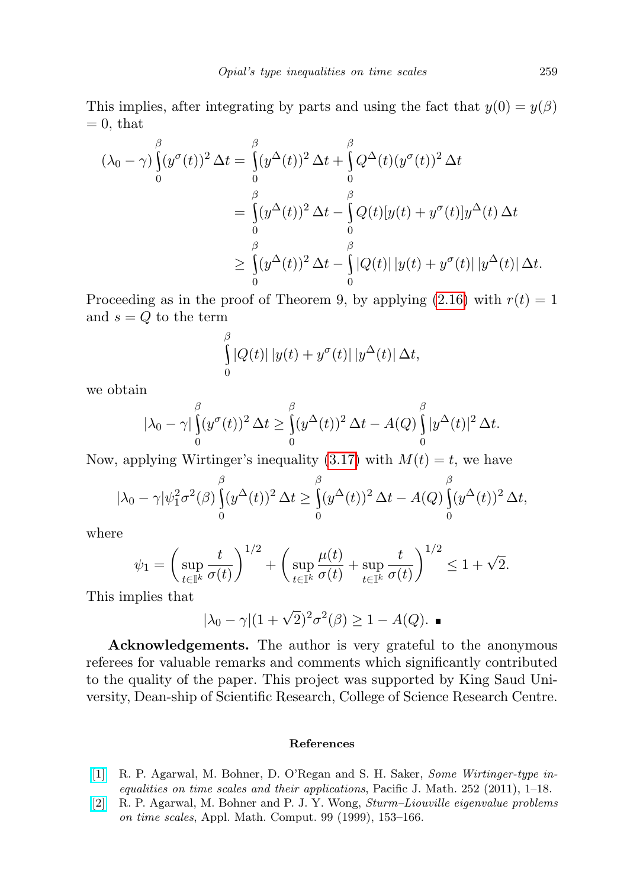This implies, after integrating by parts and using the fact that  $y(0) = y(\beta)$  $= 0$ , that

$$
(\lambda_0 - \gamma) \int_0^{\beta} (y^{\sigma}(t))^2 \,\Delta t = \int_0^{\beta} (y^{\Delta}(t))^2 \,\Delta t + \int_0^{\beta} Q^{\Delta}(t)(y^{\sigma}(t))^2 \,\Delta t
$$
  
\n
$$
= \int_0^{\beta} (y^{\Delta}(t))^2 \,\Delta t - \int_0^{\beta} Q(t)[y(t) + y^{\sigma}(t)]y^{\Delta}(t) \,\Delta t
$$
  
\n
$$
\geq \int_0^{\beta} (y^{\Delta}(t))^2 \,\Delta t - \int_0^{\beta} |Q(t)| |y(t) + y^{\sigma}(t)| |y^{\Delta}(t)| \,\Delta t.
$$

Proceeding as in the proof of Theorem 9, by applying  $(2.16)$  with  $r(t) = 1$ and  $s = Q$  to the term

$$
\int_{0}^{\beta} |Q(t)| |y(t) + y^{\sigma}(t)| |y^{\Delta}(t)| \Delta t,
$$

we obtain

$$
|\lambda_0 - \gamma| \int_0^{\beta} (y^{\sigma}(t))^2 \,\Delta t \ge \int_0^{\beta} (y^{\Delta}(t))^2 \,\Delta t - A(Q) \int_0^{\beta} |y^{\Delta}(t)|^2 \,\Delta t.
$$

Now, applying Wirtinger's inequality  $(3.17)$  with  $M(t) = t$ , we have

$$
|\lambda_0 - \gamma| \psi_1^2 \sigma^2(\beta) \int_0^\beta (y^\Delta(t))^2 \,\Delta t \ge \int_0^\beta (y^\Delta(t))^2 \,\Delta t - A(Q) \int_0^\beta (y^\Delta(t))^2 \,\Delta t,
$$

where

$$
\psi_1 = \left(\sup_{t \in \mathbb{I}^k} \frac{t}{\sigma(t)}\right)^{1/2} + \left(\sup_{t \in \mathbb{I}^k} \frac{\mu(t)}{\sigma(t)} + \sup_{t \in \mathbb{I}^k} \frac{t}{\sigma(t)}\right)^{1/2} \le 1 + \sqrt{2}.
$$

This implies that

$$
|\lambda_0 - \gamma| (1 + \sqrt{2})^2 \sigma^2(\beta) \ge 1 - A(Q). \blacksquare
$$

Acknowledgements. The author is very grateful to the anonymous referees for valuable remarks and comments which significantly contributed to the quality of the paper. This project was supported by King Saud University, Dean-ship of Scientific Research, College of Science Research Centre.

## References

- <span id="page-16-0"></span>[\[1\]](http://dx.doi.org/10.2140/pjm.2011.252.1) R. P. Agarwal, M. Bohner, D. O'Regan and S. H. Saker, Some Wirtinger-type inequalities on time scales and their applications, Pacific J. Math. 252 (2011), 1–18.
- <span id="page-16-1"></span>[\[2\]](http://dx.doi.org/10.1016/S0096-3003(98)00004-6) R. P. Agarwal, M. Bohner and P. J. Y. Wong, Sturm–Liouville eigenvalue problems on time scales, Appl. Math. Comput. 99 (1999), 153–166.